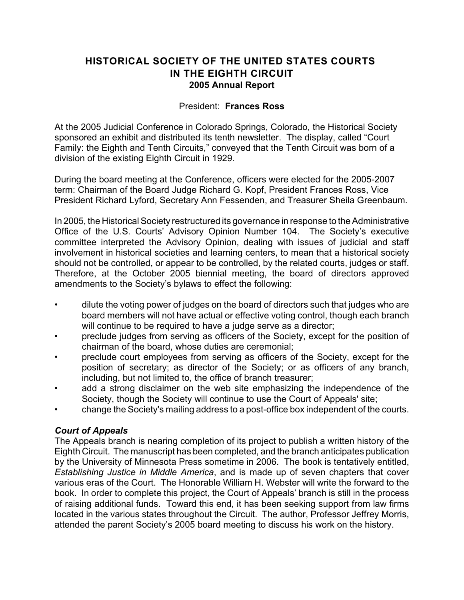## **HISTORICAL SOCIETY OF THE UNITED STATES COURTS IN THE EIGHTH CIRCUIT 2005 Annual Report**

#### President: **Frances Ross**

At the 2005 Judicial Conference in Colorado Springs, Colorado, the Historical Society sponsored an exhibit and distributed its tenth newsletter. The display, called "Court Family: the Eighth and Tenth Circuits," conveyed that the Tenth Circuit was born of a division of the existing Eighth Circuit in 1929.

During the board meeting at the Conference, officers were elected for the 2005-2007 term: Chairman of the Board Judge Richard G. Kopf, President Frances Ross, Vice President Richard Lyford, Secretary Ann Fessenden, and Treasurer Sheila Greenbaum.

In 2005, the Historical Society restructured its governance in response to the Administrative Office of the U.S. Courts' Advisory Opinion Number 104. The Society's executive committee interpreted the Advisory Opinion, dealing with issues of judicial and staff involvement in historical societies and learning centers, to mean that a historical society should not be controlled, or appear to be controlled, by the related courts, judges or staff. Therefore, at the October 2005 biennial meeting, the board of directors approved amendments to the Society's bylaws to effect the following:

- dilute the voting power of judges on the board of directors such that judges who are board members will not have actual or effective voting control, though each branch will continue to be required to have a judge serve as a director;
- preclude judges from serving as officers of the Society, except for the position of chairman of the board, whose duties are ceremonial;
- preclude court employees from serving as officers of the Society, except for the position of secretary; as director of the Society; or as officers of any branch, including, but not limited to, the office of branch treasurer;
- add a strong disclaimer on the web site emphasizing the independence of the Society, though the Society will continue to use the Court of Appeals' site;
- change the Society's mailing address to a post-office box independent of the courts.

## *Court of Appeals*

The Appeals branch is nearing completion of its project to publish a written history of the Eighth Circuit. The manuscript has been completed, and the branch anticipates publication by the University of Minnesota Press sometime in 2006. The book is tentatively entitled, *Establishing Justice in Middle America*, and is made up of seven chapters that cover various eras of the Court. The Honorable William H. Webster will write the forward to the book. In order to complete this project, the Court of Appeals' branch is still in the process of raising additional funds. Toward this end, it has been seeking support from law firms located in the various states throughout the Circuit. The author, Professor Jeffrey Morris, attended the parent Society's 2005 board meeting to discuss his work on the history.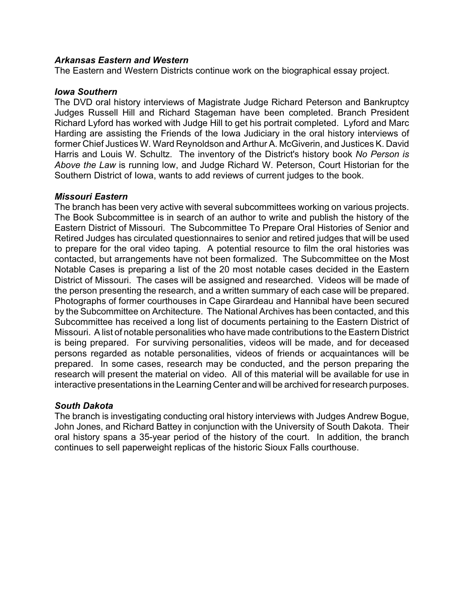#### *Arkansas Eastern and Western*

The Eastern and Western Districts continue work on the biographical essay project.

#### *Iowa Southern*

The DVD oral history interviews of Magistrate Judge Richard Peterson and Bankruptcy Judges Russell Hill and Richard Stageman have been completed. Branch President Richard Lyford has worked with Judge Hill to get his portrait completed. Lyford and Marc Harding are assisting the Friends of the Iowa Judiciary in the oral history interviews of former Chief Justices W. Ward Reynoldson and Arthur A. McGiverin, and Justices K. David Harris and Louis W. Schultz. The inventory of the District's history book *No Person is Above the Law* is running low, and Judge Richard W. Peterson, Court Historian for the Southern District of Iowa, wants to add reviews of current judges to the book.

#### *Missouri Eastern*

The branch has been very active with several subcommittees working on various projects. The Book Subcommittee is in search of an author to write and publish the history of the Eastern District of Missouri. The Subcommittee To Prepare Oral Histories of Senior and Retired Judges has circulated questionnaires to senior and retired judges that will be used to prepare for the oral video taping. A potential resource to film the oral histories was contacted, but arrangements have not been formalized. The Subcommittee on the Most Notable Cases is preparing a list of the 20 most notable cases decided in the Eastern District of Missouri. The cases will be assigned and researched. Videos will be made of the person presenting the research, and a written summary of each case will be prepared. Photographs of former courthouses in Cape Girardeau and Hannibal have been secured by the Subcommittee on Architecture. The National Archives has been contacted, and this Subcommittee has received a long list of documents pertaining to the Eastern District of Missouri. A list of notable personalities who have made contributions to the Eastern District is being prepared. For surviving personalities, videos will be made, and for deceased persons regarded as notable personalities, videos of friends or acquaintances will be prepared. In some cases, research may be conducted, and the person preparing the research will present the material on video. All of this material will be available for use in interactive presentations in the Learning Center and will be archived for research purposes.

## *South Dakota*

The branch is investigating conducting oral history interviews with Judges Andrew Bogue, John Jones, and Richard Battey in conjunction with the University of South Dakota. Their oral history spans a 35-year period of the history of the court. In addition, the branch continues to sell paperweight replicas of the historic Sioux Falls courthouse.